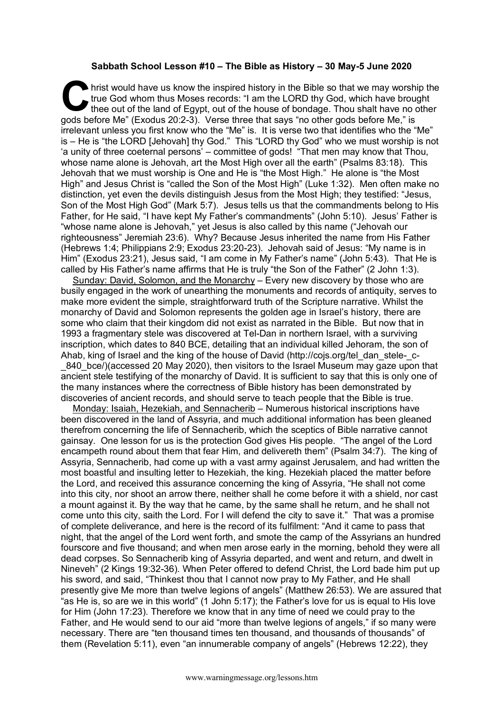## **Sabbath School Lesson #10 – The Bible as History – 30 May-5 June 2020**

hrist would have us know the inspired history in the Bible so that we may worship the true God whom thus Moses records: "I am the LORD thy God, which have brought the out of the land of Egypt, out of the house of bondage. true God whom thus Moses records: "I am the LORD thy God, which have brought thee out of the land of Egypt, out of the house of bondage. Thou shalt have no other gods before Me" (Exodus 20:2-3). Verse three that says "no other gods before Me," is irrelevant unless you first know who the "Me" is. It is verse two that identifies who the "Me" is – He is "the LORD [Jehovah] thy God." This "LORD thy God" who we must worship is not 'a unity of three coeternal persons' – committee of gods! "That men may know that Thou, whose name alone is Jehovah, art the Most High over all the earth" (Psalms 83:18). This Jehovah that we must worship is One and He is "the Most High." He alone is "the Most High" and Jesus Christ is "called the Son of the Most High" (Luke 1:32). Men often make no distinction, yet even the devils distinguish Jesus from the Most High; they testified: "Jesus, Son of the Most High God" (Mark 5:7). Jesus tells us that the commandments belong to His Father, for He said, "I have kept My Father's commandments" (John 5:10). Jesus' Father is "whose name alone is Jehovah," yet Jesus is also called by this name ("Jehovah our righteousness" Jeremiah 23:6). Why? Because Jesus inherited the name from His Father (Hebrews 1:4; Philippians 2:9; Exodus 23:20-23). Jehovah said of Jesus: "My name is in Him" (Exodus 23:21), Jesus said, "I am come in My Father's name" (John 5:43). That He is called by His Father's name affirms that He is truly "the Son of the Father" (2 John 1:3).

Sunday: David, Solomon, and the Monarchy – Every new discovery by those who are busily engaged in the work of unearthing the monuments and records of antiquity, serves to make more evident the simple, straightforward truth of the Scripture narrative. Whilst the monarchy of David and Solomon represents the golden age in Israel's history, there are some who claim that their kingdom did not exist as narrated in the Bible. But now that in 1993 a fragmentary stele was discovered at Tel-Dan in northern Israel, with a surviving inscription, which dates to 840 BCE, detailing that an individual killed Jehoram, the son of Ahab, king of Israel and the king of the house of David (http://cojs.org/tel\_dan\_stele-\_c- \_840\_bce/)(accessed 20 May 2020), then visitors to the Israel Museum may gaze upon that ancient stele testifying of the monarchy of David. It is sufficient to say that this is only one of the many instances where the correctness of Bible history has been demonstrated by discoveries of ancient records, and should serve to teach people that the Bible is true.

Monday: Isaiah, Hezekiah, and Sennacherib – Numerous historical inscriptions have been discovered in the land of Assyria, and much additional information has been gleaned therefrom concerning the life of Sennacherib, which the sceptics of Bible narrative cannot gainsay. One lesson for us is the protection God gives His people. "The angel of the Lord encampeth round about them that fear Him, and delivereth them" (Psalm 34:7). The king of Assyria, Sennacherib, had come up with a vast army against Jerusalem, and had written the most boastful and insulting letter to Hezekiah, the king. Hezekiah placed the matter before the Lord, and received this assurance concerning the king of Assyria, "He shall not come into this city, nor shoot an arrow there, neither shall he come before it with a shield, nor cast a mount against it. By the way that he came, by the same shall he return, and he shall not come unto this city, saith the Lord. For I will defend the city to save it." That was a promise of complete deliverance, and here is the record of its fulfilment: "And it came to pass that night, that the angel of the Lord went forth, and smote the camp of the Assyrians an hundred fourscore and five thousand; and when men arose early in the morning, behold they were all dead corpses. So Sennacherib king of Assyria departed, and went and return, and dwelt in Nineveh" (2 Kings 19:32-36). When Peter offered to defend Christ, the Lord bade him put up his sword, and said, "Thinkest thou that I cannot now pray to My Father, and He shall presently give Me more than twelve legions of angels" (Matthew 26:53). We are assured that "as He is, so are we in this world" (1 John 5:17); the Father's love for us is equal to His love for Him (John 17:23). Therefore we know that in any time of need we could pray to the Father, and He would send to our aid "more than twelve legions of angels," if so many were necessary. There are "ten thousand times ten thousand, and thousands of thousands" of them (Revelation 5:11), even "an innumerable company of angels" (Hebrews 12:22), they